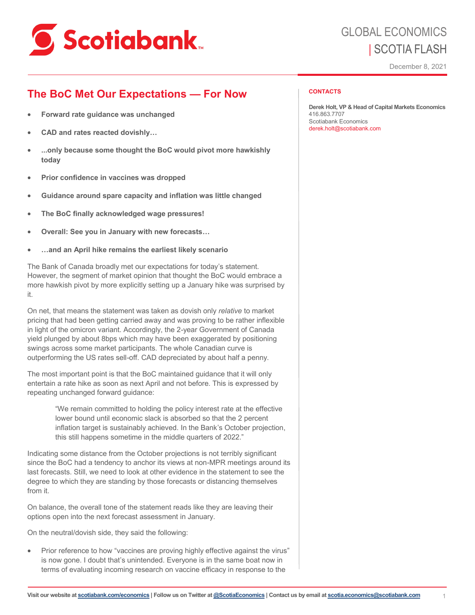

# GLOBAL ECONOMICS | SCOTIA FLASH

December 8, 2021

## **The BoC Met Our Expectations — For Now**

- **Forward rate guidance was unchanged**
- **CAD and rates reacted dovishly…**
- ...only because some thought the BoC would pivot more hawkishly **today**
- **Prior confidence in vaccines was dropped**
- **Guidance around spare capacity and inflation was little changed**
- **The BoC finally acknowledged wage pressures!**
- **Overall: See you in January with new forecasts…**
- **…and an April hike remains the earliest likely scenario**

The Bank of Canada broadly met our expectations for today's statement. However, the segment of market opinion that thought the BoC would embrace a more hawkish pivot by more explicitly setting up a January hike was surprised by it.

On net, that means the statement was taken as dovish only *relative* to market pricing that had been getting carried away and was proving to be rather inflexible in light of the omicron variant. Accordingly, the 2-year Government of Canada yield plunged by about 8bps which may have been exaggerated by positioning swings across some market participants. The whole Canadian curve is outperforming the US rates sell-off. CAD depreciated by about half a penny.

The most important point is that the BoC maintained guidance that it will only entertain a rate hike as soon as next April and not before. This is expressed by repeating unchanged forward guidance:

> "We remain committed to holding the policy interest rate at the effective lower bound until economic slack is absorbed so that the 2 percent inflation target is sustainably achieved. In the Bank's October projection, this still happens sometime in the middle quarters of 2022."

Indicating some distance from the October projections is not terribly significant since the BoC had a tendency to anchor its views at non-MPR meetings around its last forecasts. Still, we need to look at other evidence in the statement to see the degree to which they are standing by those forecasts or distancing themselves from it.

On balance, the overall tone of the statement reads like they are leaving their options open into the next forecast assessment in January.

On the neutral/dovish side, they said the following:

Prior reference to how "vaccines are proving highly effective against the virus" is now gone. I doubt that's unintended. Everyone is in the same boat now in terms of evaluating incoming research on vaccine efficacy in response to the

#### **CONTACTS**

**Derek Holt, VP & Head of Capital Markets Economics**  416.863.7707 Scotiabank Economics derek.holt@scotiabank.com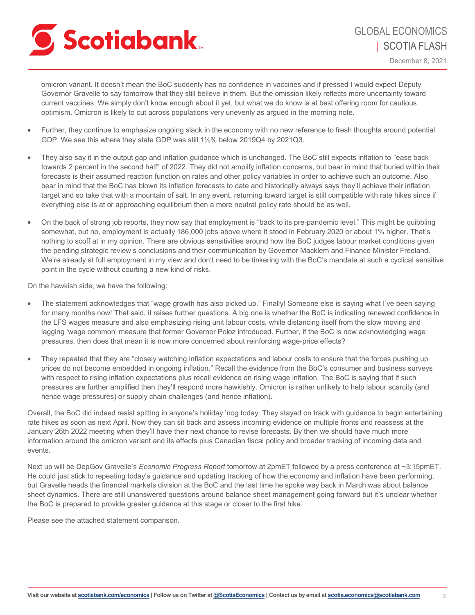

December 8, 2021

omicron variant. It doesn't mean the BoC suddenly has no confidence in vaccines and if pressed I would expect Deputy Governor Gravelle to say tomorrow that they still believe in them. But the omission likely reflects more uncertainty toward current vaccines. We simply don't know enough about it yet, but what we do know is at best offering room for cautious optimism. Omicron is likely to cut across populations very unevenly as argued in the morning note.

- Further, they continue to emphasize ongoing slack in the economy with no new reference to fresh thoughts around potential GDP. We see this where they state GDP was still 1½% below 2019Q4 by 2021Q3.
- They also say it in the output gap and inflation guidance which is unchanged. The BoC still expects inflation to "ease back towards 2 percent in the second half" of 2022. They did not amplify inflation concerns, but bear in mind that buried within their forecasts is their assumed reaction function on rates and other policy variables in order to achieve such an outcome. Also bear in mind that the BoC has blown its inflation forecasts to date and historically always says they'll achieve their inflation target and so take that with a mountain of salt. In any event, returning toward target is still compatible with rate hikes since if everything else is at or approaching equilibrium then a more neutral policy rate should be as well.
- On the back of strong job reports, they now say that employment is "back to its pre-pandemic level." This might be quibbling somewhat, but no, employment is actually 186,000 jobs above where it stood in February 2020 or about 1% higher. That's nothing to scoff at in my opinion. There are obvious sensitivities around how the BoC judges labour market conditions given the pending strategic review's conclusions and their communication by Governor Macklem and Finance Minister Freeland. We're already at full employment in my view and don't need to be tinkering with the BoC's mandate at such a cyclical sensitive point in the cycle without courting a new kind of risks.

On the hawkish side, we have the following:

- The statement acknowledges that "wage growth has also picked up." Finally! Someone else is saying what I've been saying for many months now! That said, it raises further questions. A big one is whether the BoC is indicating renewed confidence in the LFS wages measure and also emphasizing rising unit labour costs, while distancing itself from the slow moving and lagging 'wage common' measure that former Governor Poloz introduced. Further, if the BoC is now acknowledging wage pressures, then does that mean it is now more concerned about reinforcing wage-price effects?
- They repeated that they are "closely watching inflation expectations and labour costs to ensure that the forces pushing up prices do not become embedded in ongoing inflation." Recall the evidence from the BoC's consumer and business surveys with respect to rising inflation expectations plus recall evidence on rising wage inflation. The BoC is saying that if such pressures are further amplified then they'll respond more hawkishly. Omicron is rather unlikely to help labour scarcity (and hence wage pressures) or supply chain challenges (and hence inflation).

Overall, the BoC did indeed resist spitting in anyone's holiday 'nog today. They stayed on track with guidance to begin entertaining rate hikes as soon as next April. Now they can sit back and assess incoming evidence on multiple fronts and reassess at the January 26th 2022 meeting when they'll have their next chance to revise forecasts. By then we should have much more information around the omicron variant and its effects plus Canadian fiscal policy and broader tracking of incoming data and events.

Next up will be DepGov Gravelle's *Economic Progress Report* tomorrow at 2pmET followed by a press conference at ~3:15pmET. He could just stick to repeating today's guidance and updating tracking of how the economy and inflation have been performing, but Gravelle heads the financial markets division at the BoC and the last time he spoke way back in March was about balance sheet dynamics. There are still unanswered questions around balance sheet management going forward but it's unclear whether the BoC is prepared to provide greater guidance at this stage or closer to the first hike.

Please see the attached statement comparison.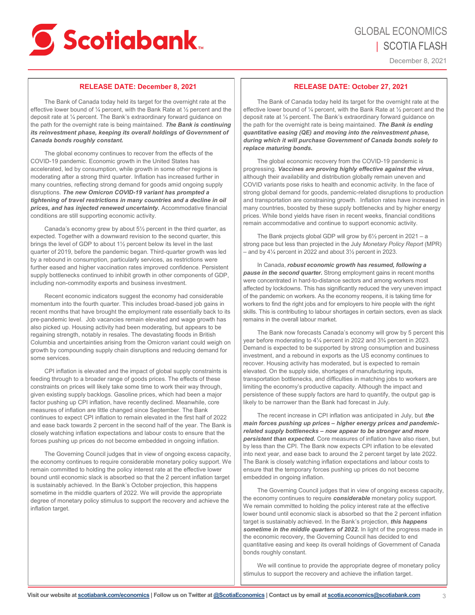

December 8, 2021

### **RELEASE DATE: December 8, 2021**

The Bank of Canada today held its target for the overnight rate at the effective lower bound of ¼ percent, with the Bank Rate at ½ percent and the deposit rate at ¼ percent. The Bank's extraordinary forward guidance on the path for the overnight rate is being maintained. *The Bank is continuing its reinvestment phase, keeping its overall holdings of Government of Canada bonds roughly constant.*

The global economy continues to recover from the effects of the COVID-19 pandemic. Economic growth in the United States has accelerated, led by consumption, while growth in some other regions is moderating after a strong third quarter. Inflation has increased further in many countries, reflecting strong demand for goods amid ongoing supply disruptions. *The new Omicron COVID-19 variant has prompted a tightening of travel restrictions in many countries and a decline in oil prices, and has injected renewed uncertainty.* Accommodative financial conditions are still supporting economic activity.

Canada's economy grew by about 5½ percent in the third quarter, as expected. Together with a downward revision to the second quarter, this brings the level of GDP to about 1½ percent below its level in the last quarter of 2019, before the pandemic began. Third-quarter growth was led by a rebound in consumption, particularly services, as restrictions were further eased and higher vaccination rates improved confidence. Persistent supply bottlenecks continued to inhibit growth in other components of GDP. including non-commodity exports and business investment.

Recent economic indicators suggest the economy had considerable momentum into the fourth quarter. This includes broad-based job gains in recent months that have brought the employment rate essentially back to its pre-pandemic level. Job vacancies remain elevated and wage growth has also picked up. Housing activity had been moderating, but appears to be regaining strength, notably in resales. The devastating floods in British Columbia and uncertainties arising from the Omicron variant could weigh on growth by compounding supply chain disruptions and reducing demand for some services.

CPI inflation is elevated and the impact of global supply constraints is feeding through to a broader range of goods prices. The effects of these constraints on prices will likely take some time to work their way through, given existing supply backlogs. Gasoline prices, which had been a major factor pushing up CPI inflation, have recently declined. Meanwhile, core measures of inflation are little changed since September. The Bank continues to expect CPI inflation to remain elevated in the first half of 2022 and ease back towards 2 percent in the second half of the year. The Bank is closely watching inflation expectations and labour costs to ensure that the forces pushing up prices do not become embedded in ongoing inflation.

The Governing Council judges that in view of ongoing excess capacity, the economy continues to require considerable monetary policy support. We remain committed to holding the policy interest rate at the effective lower bound until economic slack is absorbed so that the 2 percent inflation target is sustainably achieved. In the Bank's October projection, this happens sometime in the middle quarters of 2022. We will provide the appropriate degree of monetary policy stimulus to support the recovery and achieve the inflation target.

### **RELEASE DATE: October 27, 2021**

The Bank of Canada today held its target for the overnight rate at the effective lower bound of ¼ percent, with the Bank Rate at ½ percent and the deposit rate at ¼ percent. The Bank's extraordinary forward guidance on the path for the overnight rate is being maintained. *The Bank is ending quantitative easing (QE) and moving into the reinvestment phase, during which it will purchase Government of Canada bonds solely to replace maturing bonds.*

The global economic recovery from the COVID-19 pandemic is progressing. *Vaccines are proving highly effective against the virus*, although their availability and distribution globally remain uneven and COVID variants pose risks to health and economic activity. In the face of strong global demand for goods, pandemic-related disruptions to production and transportation are constraining growth. Inflation rates have increased in many countries, boosted by these supply bottlenecks and by higher energy prices. While bond yields have risen in recent weeks, financial conditions remain accommodative and continue to support economic activity.

The Bank projects global GDP will grow by 6½ percent in 2021 – a strong pace but less than projected in the July *Monetary Policy Report* (MPR) – and by 4¼ percent in 2022 and about 3½ percent in 2023.

In Canada, *robust economic growth has resumed, following a pause in the second quarter.* Strong employment gains in recent months were concentrated in hard-to-distance sectors and among workers most affected by lockdowns. This has significantly reduced the very uneven impact of the pandemic on workers. As the economy reopens, it is taking time for workers to find the right jobs and for employers to hire people with the right skills. This is contributing to labour shortages in certain sectors, even as slack remains in the overall labour market.

The Bank now forecasts Canada's economy will grow by 5 percent this year before moderating to 4¼ percent in 2022 and 3¾ percent in 2023. Demand is expected to be supported by strong consumption and business investment, and a rebound in exports as the US economy continues to recover. Housing activity has moderated, but is expected to remain elevated. On the supply side, shortages of manufacturing inputs, transportation bottlenecks, and difficulties in matching jobs to workers are limiting the economy's productive capacity. Although the impact and persistence of these supply factors are hard to quantify, the output gap is likely to be narrower than the Bank had forecast in July.

The recent increase in CPI inflation was anticipated in July, but *the main forces pushing up prices – higher energy prices and pandemicrelated supply bottlenecks – now appear to be stronger and more persistent than expected.* Core measures of inflation have also risen, but by less than the CPI. The Bank now expects CPI inflation to be elevated into next year, and ease back to around the 2 percent target by late 2022. The Bank is closely watching inflation expectations and labour costs to ensure that the temporary forces pushing up prices do not become embedded in ongoing inflation.

The Governing Council judges that in view of ongoing excess capacity, the economy continues to require *considerable* monetary policy support. We remain committed to holding the policy interest rate at the effective lower bound until economic slack is absorbed so that the 2 percent inflation target is sustainably achieved. In the Bank's projection, *this happens*  sometime in the middle quarters of 2022. In light of the progress made in the economic recovery, the Governing Council has decided to end quantitative easing and keep its overall holdings of Government of Canada bonds roughly constant.

We will continue to provide the appropriate degree of monetary policy stimulus to support the recovery and achieve the inflation target.